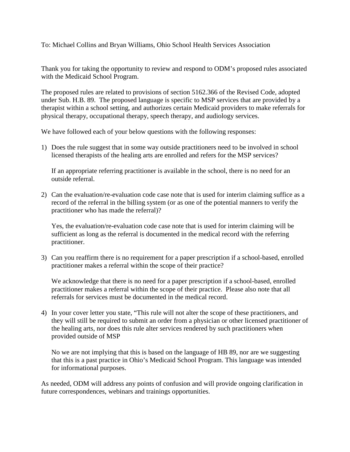To: Michael Collins and Bryan Williams, Ohio School Health Services Association

Thank you for taking the opportunity to review and respond to ODM's proposed rules associated with the Medicaid School Program.

The proposed rules are related to provisions of section 5162.366 of the Revised Code, adopted under Sub. H.B. 89. The proposed language is specific to MSP services that are provided by a therapist within a school setting, and authorizes certain Medicaid providers to make referrals for physical therapy, occupational therapy, speech therapy, and audiology services.

We have followed each of your below questions with the following responses:

1) Does the rule suggest that in some way outside practitioners need to be involved in school licensed therapists of the healing arts are enrolled and refers for the MSP services?

If an appropriate referring practitioner is available in the school, there is no need for an outside referral.

2) Can the evaluation/re-evaluation code case note that is used for interim claiming suffice as a record of the referral in the billing system (or as one of the potential manners to verify the practitioner who has made the referral)?

Yes, the evaluation/re-evaluation code case note that is used for interim claiming will be sufficient as long as the referral is documented in the medical record with the referring practitioner.

3) Can you reaffirm there is no requirement for a paper prescription if a school-based, enrolled practitioner makes a referral within the scope of their practice?

We acknowledge that there is no need for a paper prescription if a school-based, enrolled practitioner makes a referral within the scope of their practice. Please also note that all referrals for services must be documented in the medical record.

4) In your cover letter you state, "This rule will not alter the scope of these practitioners, and they will still be required to submit an order from a physician or other licensed practitioner of the healing arts, nor does this rule alter services rendered by such practitioners when provided outside of MSP

No we are not implying that this is based on the language of HB 89, nor are we suggesting that this is a past practice in Ohio's Medicaid School Program. This language was intended for informational purposes.

As needed, ODM will address any points of confusion and will provide ongoing clarification in future correspondences, webinars and trainings opportunities.